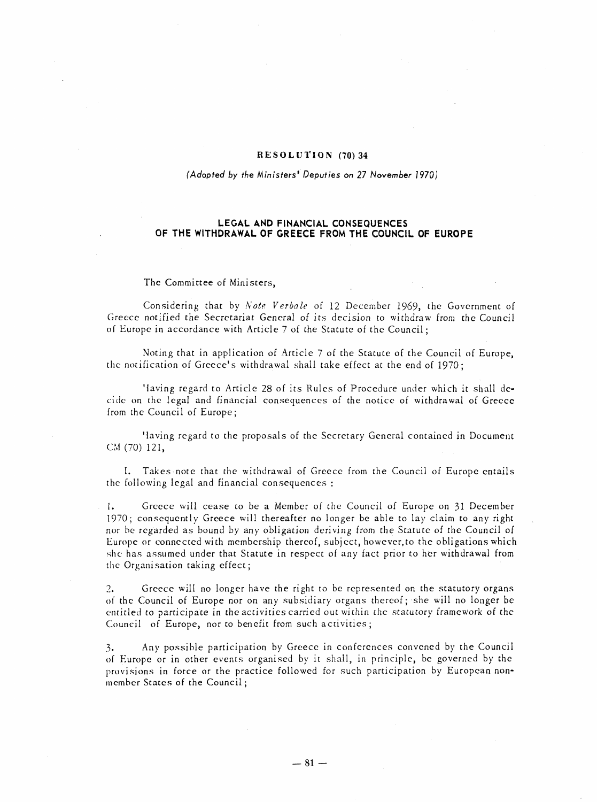## RESOLUTION (70) 34

## (Adopted by the Ministers' Deputies on 27 November 1970)

## LEGAL AND FINANCIAL CONSEQUENCES OF THE WITHDRAWAL OF GREECE FROM THE COUNCIL OF EUROPE

## The Committee of Ministers,

Considering that by *Note Verbale* of 12 December 1969, the Government of Greece notified the Secretariat General of its decision to withdraw from the Council of Europe in accordance with Article 7 of the Statute of the Council;

Noting that in application of Article 7 of the Statute of the Council of Europe, the notification of Greece's withdrawal shall take effect at the end of 1970;

'laving regard to Article 28 of its Rules of Procedure under which it shall decide on the legal and financial consequences of the notice of withdrawal of Greece from the Council of Europe;

Having regard to the proposals of the Secretary General contained in Document CM (70) 121,

I. Takes note that the withdrawal of Greece from the Council of Europe entails the following legal and financial consequences:

1. Greece will cease to be a Member of the Council of Europe on 31 December 1970; consequently Greece will thereafter no longer be able to lay claim to any right nor be regarded as bound by any obligation deriving from the Statute of the Council of Europe or connected with membership thereof, subject, however, to the obligations which she has assumed under that Statute in respect of any fact prior to her withdrawal from the Organisation taking effect;

2. Greece will no longer have the right to be represented on the statutory organs of the Council of Europe nor on any subsidiary organs thereof; she will no longer be entitled to participate in the activities carried out within the statutory framework of the Council of Europe, nor to benefit from such activities;

3. Any possible participation by Greece in conferences convened by the Council of Europe or in other events organised by it shall, in principle, be governed by the provisions in force or the practice followed for such participation by European nonmember States of the Council;

 $- 81 -$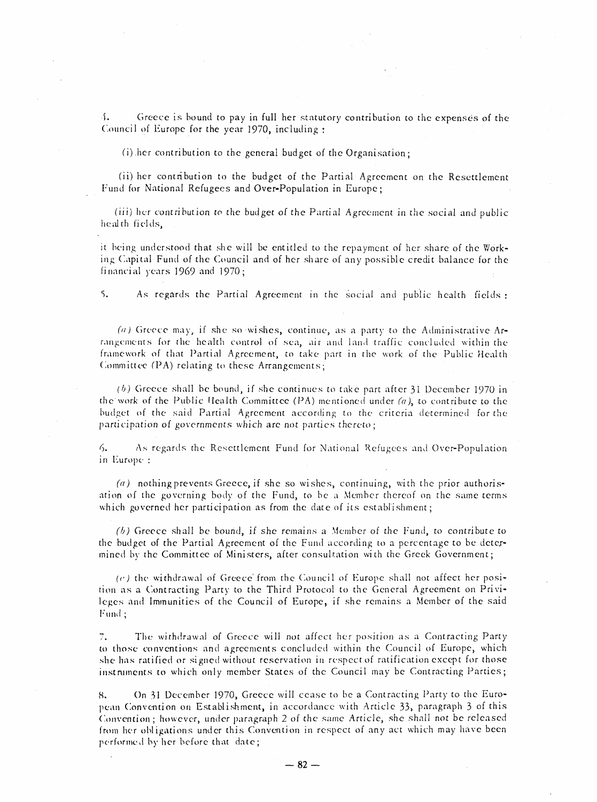1. Greece is bound to pay in full her statutory contribution to the expenses of the Council of Europe for the year 1970, including:

(i) her contribution to the general budget of the Organisation;

(ii) her contribution to the budget of the Partial Agreement on the Resettlement Fund for National Refugees and Over-Population in Europe;

(iii) her contribution to the budget of the Partial Agreement in the social and public health fields,

it being understood that she will be entitled to the repayment of her share of the Working Capital Fund of the Council and of her share of any possible credit balance for the financial years  $1969$  and  $1970$ ;

5. As regards the Partial Agreement in the social and public health fields:

(a) Greece may, if she so wishes, continue, as a party to the Administrative Arrangements for the health control of sea, air and land traffic concluded within the framework of that Partial Agreement, to take part in the work of the Public Health Committee (PA) relating to these Arrangements;

 $(b)$  Greece shall be bound, if she continues to take part after 31 December 1970 in the work of the Public Health Committee (PA) mentioned under (a), to contribute to the budget of the said Partial Agreement according to the criteria determined for the participation of governments which are not parties thereto;

6. As regards the Resettlement Fund for National Refugees and Over-Population in Europe:

 $(a)$  nothing prevents Greece, if she so wishes, continuing, with the prior authorisation of the governing body of the Fund, to be a Member thereof on the same terms which governed her participation as from the date of its establishment;

(b) Greece shall be bound, if she remains a Member of the Fund, to contribute to the budget of the Partial Agreement of the Fund according to a percentage to be determined by the Committee of Ministers, after consultation with the Greek Government;

 $(c)$  the withdrawal of Greece' from the Council of Europe shall not affect her position as a Contracting Party to the Third Protocol to the General Agreement on Privileges and Immunities of the Council of Europe, if she remains a Member of the said Fund;

7. The withdrawal of Greece will not affect her position as a Contracting Party to those conventions and agreements concluded within the Council of Europe, which she has ratified or signed without reservation in respect of ratification except for those instruments to which only member States of the Council may be Contracting Parties;

8. On 31 December 1970, Greece will cease to be a Contracting Party to the European Convention on Establishment, in accordance with Article 33, paragraph 3 of this Convention; however, under paragraph 2 of the same Article, she shall not be released from her obligations under this Convention in respect of any act which may have been performed by her before that date;